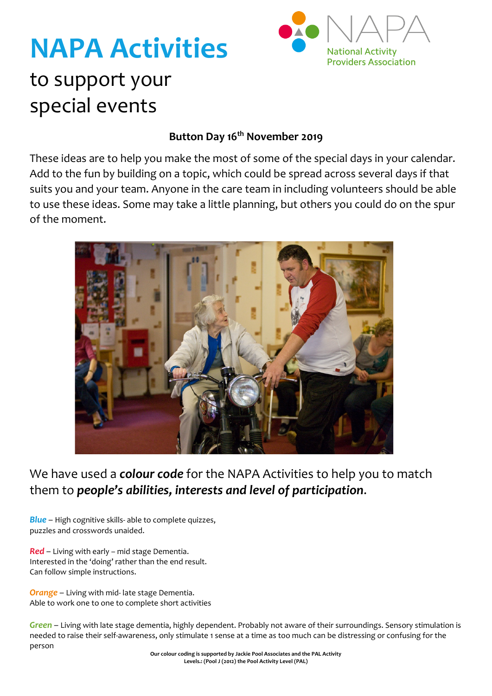### **NAPA Activities** to support your special events



#### **Button Day 16th November 2019**

These ideas are to help you make the most of some of the special days in your calendar. Add to the fun by building on a topic, which could be spread across several days if that suits you and your team. Anyone in the care team in including volunteers should be able to use these ideas. Some may take a little planning, but others you could do on the spur of the moment.



We have used a *colour code* for the NAPA Activities to help you to match them to *people's abilities, interests and level of participation*.

*Blue* – High cognitive skills- able to complete quizzes, puzzles and crosswords unaided.

*Red* – Living with early – mid stage Dementia. Interested in the 'doing' rather than the end result. Can follow simple instructions.

*Orange* – Living with mid- late stage Dementia. Able to work one to one to complete short activities

*Green* – Living with late stage dementia, highly dependent. Probably not aware of their surroundings. Sensory stimulation is needed to raise their self-awareness, only stimulate 1 sense at a time as too much can be distressing or confusing for the person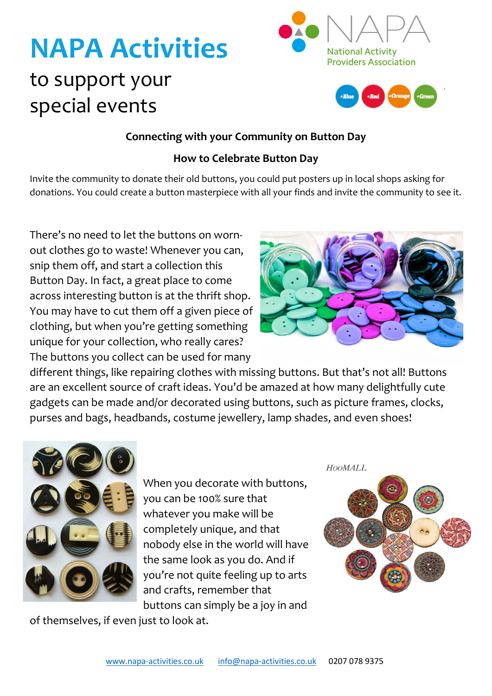## **NAPA Activities** to support your special events





#### **Connecting with your Community on Button Day**

#### **How to Celebrate Button Day**

Invite the community to donate their old buttons, you could put posters up in local shops asking for donations. You could create a button masterpiece with all your finds and invite the community to see it.

There's no need to let the buttons on wornout clothes go to waste! Whenever you can, snip them off, and start a collection this Button Day. In fact, a great place to come across interesting button is at the thrift shop. You may have to cut them off a given piece of clothing, but when you're getting something unique for your collection, who really cares? The buttons you collect can be used for many



different things, like repairing clothes with missing buttons. But that's not all! Buttons are an excellent source of craft ideas. You'd be amazed at how many delightfully cute gadgets can be made and/or decorated using buttons, such as picture frames, clocks, purses and bags, headbands, costume jewellery, lamp shades, and even shoes!



When you decorate with buttons, you can be 100% sure that whatever you make will be completely unique, and that nobody else in the world will have the same look as you do. And if you're not quite feeling up to arts and crafts, remember that

buttons can simply be a joy in and of themselves, if even just to look at.

**HOOMALL** 

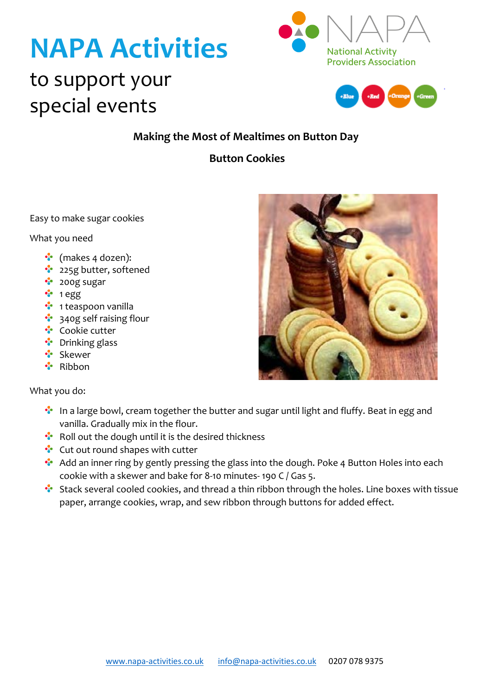# **NAPA Activities**



### to support your special events



#### **Making the Most of Mealtimes on Button Day**

#### **Button Cookies**

Easy to make sugar cookies

What you need

- ••• (makes 4 dozen):
- <sup>2</sup> 225g butter, softened
- 200g sugar
- $\cdot$  1 egg
- **<sup>•</sup>** 1 teaspoon vanilla
- **<sup>3</sup>** 340g self raising flour
- ••• Cookie cutter
- •• Drinking glass
- \* Skewer
- Ribbon

What you do:

- **In a large bowl, cream together the butter and sugar until light and fluffy. Beat in egg and** vanilla. Gradually mix in the flour.
- $\cdot$  Roll out the dough until it is the desired thickness
- **Cut out round shapes with cutter**
- ••• Add an inner ring by gently pressing the glass into the dough. Poke 4 Button Holes into each cookie with a skewer and bake for 8-10 minutes- 190 C / Gas 5.
- \*\* Stack several cooled cookies, and thread a thin ribbon through the holes. Line boxes with tissue paper, arrange cookies, wrap, and sew ribbon through buttons for added effect.